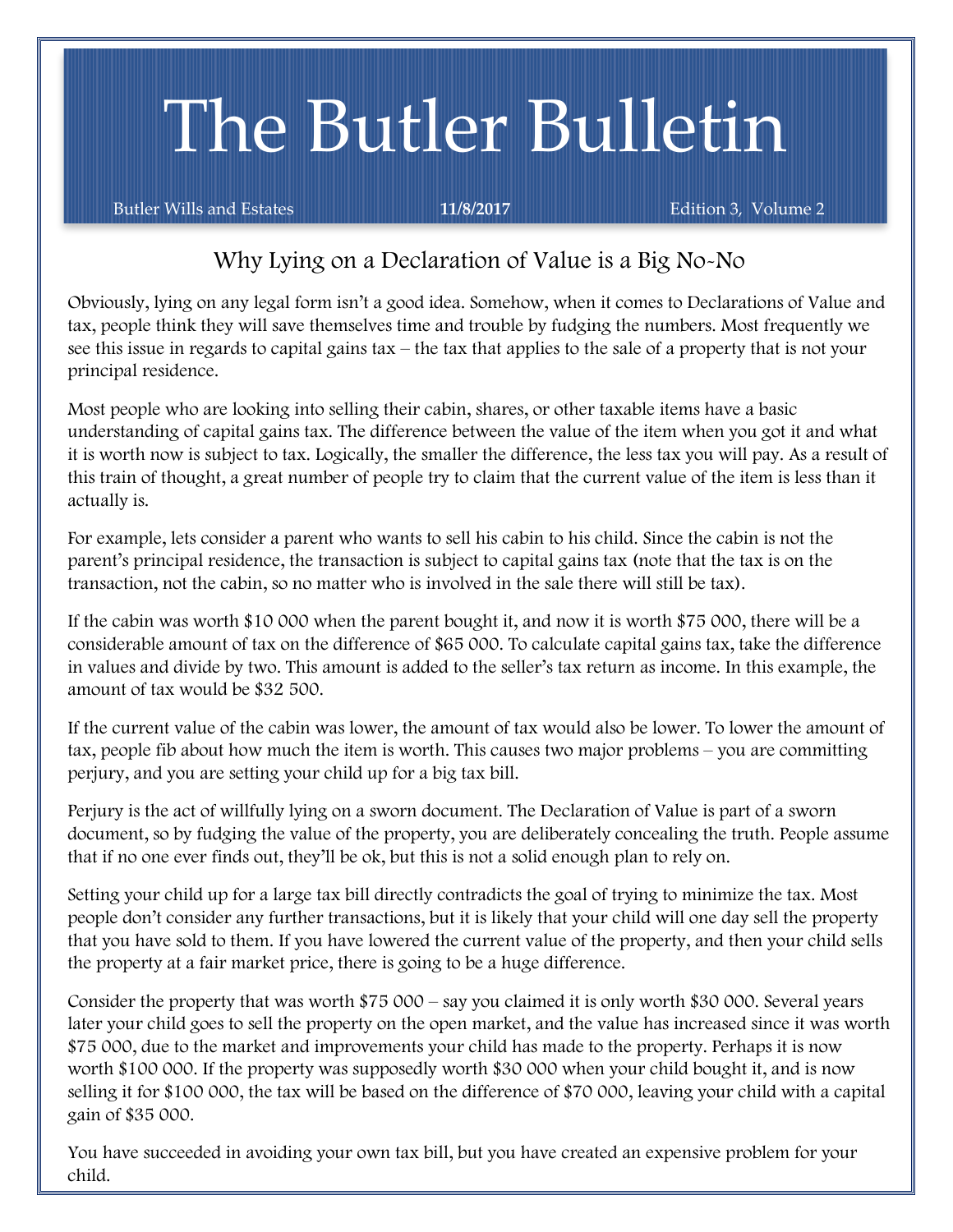# The Butler Bulletin

Butler Wills and Estates **11/8/2017** Edition 3, Volume 2

## Why Lying on a Declaration of Value is a Big No-No

Obviously, lying on any legal form isn't a good idea. Somehow, when it comes to Declarations of Value and tax, people think they will save themselves time and trouble by fudging the numbers. Most frequently we see this issue in regards to capital gains tax – the tax that applies to the sale of a property that is not your principal residence.

Most people who are looking into selling their cabin, shares, or other taxable items have a basic understanding of capital gains tax. The difference between the value of the item when you got it and what it is worth now is subject to tax. Logically, the smaller the difference, the less tax you will pay. As a result of this train of thought, a great number of people try to claim that the current value of the item is less than it actually is.

For example, lets consider a parent who wants to sell his cabin to his child. Since the cabin is not the parent's principal residence, the transaction is subject to capital gains tax (note that the tax is on the transaction, not the cabin, so no matter who is involved in the sale there will still be tax).

If the cabin was worth \$10 000 when the parent bought it, and now it is worth \$75 000, there will be a considerable amount of tax on the difference of \$65 000. To calculate capital gains tax, take the difference in values and divide by two. This amount is added to the seller's tax return as income. In this example, the amount of tax would be \$32 500.

If the current value of the cabin was lower, the amount of tax would also be lower. To lower the amount of tax, people fib about how much the item is worth. This causes two major problems – you are committing perjury, and you are setting your child up for a big tax bill.

Perjury is the act of willfully lying on a sworn document. The Declaration of Value is part of a sworn document, so by fudging the value of the property, you are deliberately concealing the truth. People assume that if no one ever finds out, they'll be ok, but this is not a solid enough plan to rely on.

Setting your child up for a large tax bill directly contradicts the goal of trying to minimize the tax. Most people don't consider any further transactions, but it is likely that your child will one day sell the property that you have sold to them. If you have lowered the current value of the property, and then your child sells the property at a fair market price, there is going to be a huge difference.

Consider the property that was worth \$75 000 – say you claimed it is only worth \$30 000. Several years later your child goes to sell the property on the open market, and the value has increased since it was worth \$75 000, due to the market and improvements your child has made to the property. Perhaps it is now worth \$100 000. If the property was supposedly worth \$30 000 when your child bought it, and is now selling it for \$100 000, the tax will be based on the difference of \$70 000, leaving your child with a capital gain of \$35 000.

You have succeeded in avoiding your own tax bill, but you have created an expensive problem for your child.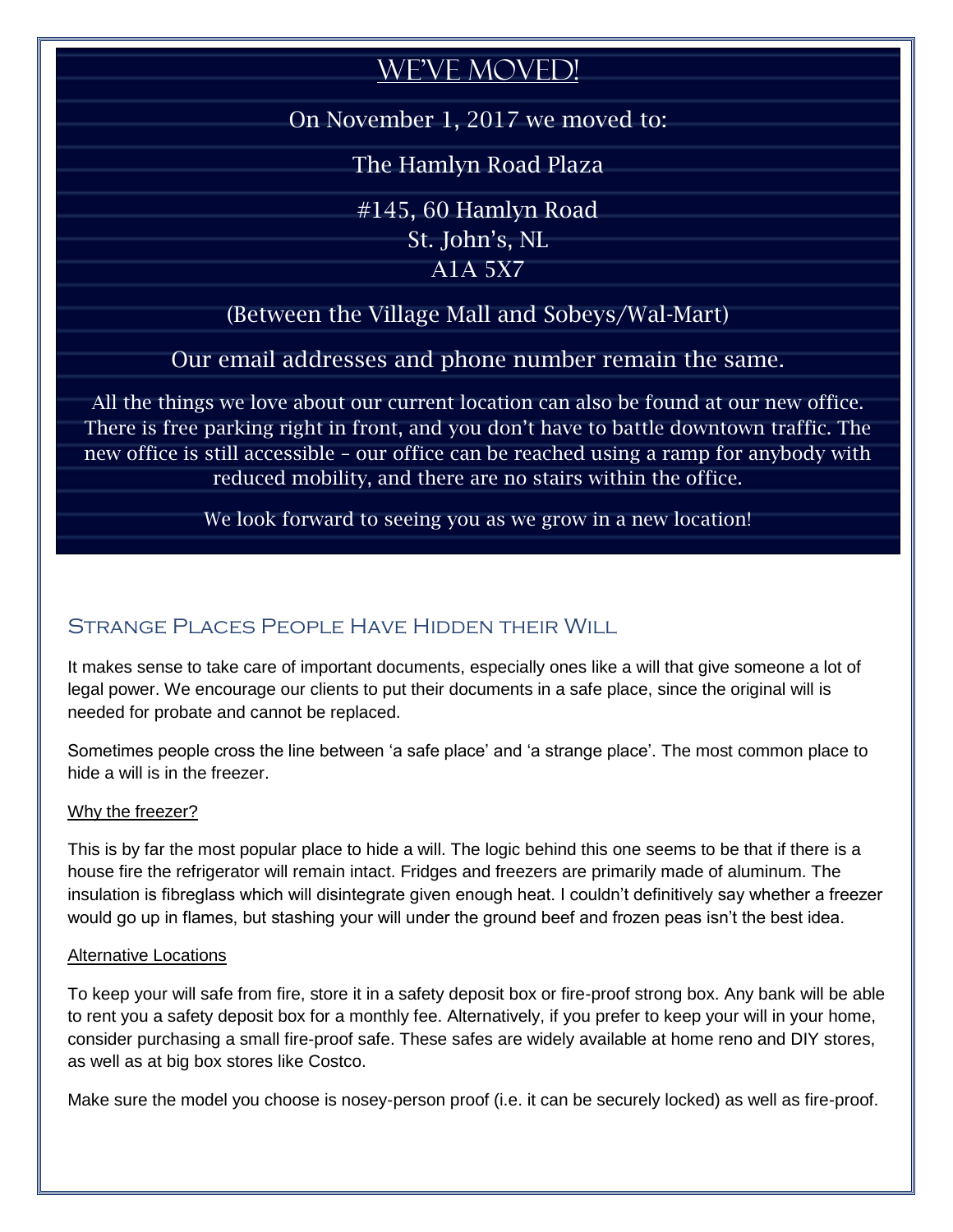## WE'VE MOVED!

On November 1, 2017 we moved to:

The Hamlyn Road Plaza

#145, 60 Hamlyn Road

St. John's, NL

A1A 5X7

(Between the Village Mall and Sobeys/Wal-Mart)

Our email addresses and phone number remain the same.

All the things we love about our current location can also be found at our new office. There is free parking right in front, and you don't have to battle downtown traffic. The new office is still accessible – our office can be reached using a ramp for anybody with reduced mobility, and there are no stairs within the office.

We look forward to seeing you as we grow in a new location!

## STRANGE PLACES PEOPLE HAVE HIDDEN THEIR WILL

It makes sense to take care of important documents, especially ones like a will that give someone a lot of legal power. We encourage our clients to put their documents in a safe place, since the original will is needed for probate and cannot be replaced.

Sometimes people cross the line between 'a safe place' and 'a strange place'. The most common place to hide a will is in the freezer.

#### Why the freezer?

This is by far the most popular place to hide a will. The logic behind this one seems to be that if there is a house fire the refrigerator will remain intact. Fridges and freezers are primarily made of aluminum. The insulation is fibreglass which will disintegrate given enough heat. I couldn't definitively say whether a freezer would go up in flames, but stashing your will under the ground beef and frozen peas isn't the best idea.

#### Alternative Locations

To keep your will safe from fire, store it in a safety deposit box or fire-proof strong box. Any bank will be able to rent you a safety deposit box for a monthly fee. Alternatively, if you prefer to keep your will in your home, consider purchasing a small fire-proof safe. These safes are widely available at home reno and DIY stores, as well as at big box stores like Costco.

Make sure the model you choose is nosey-person proof (i.e. it can be securely locked) as well as fire-proof.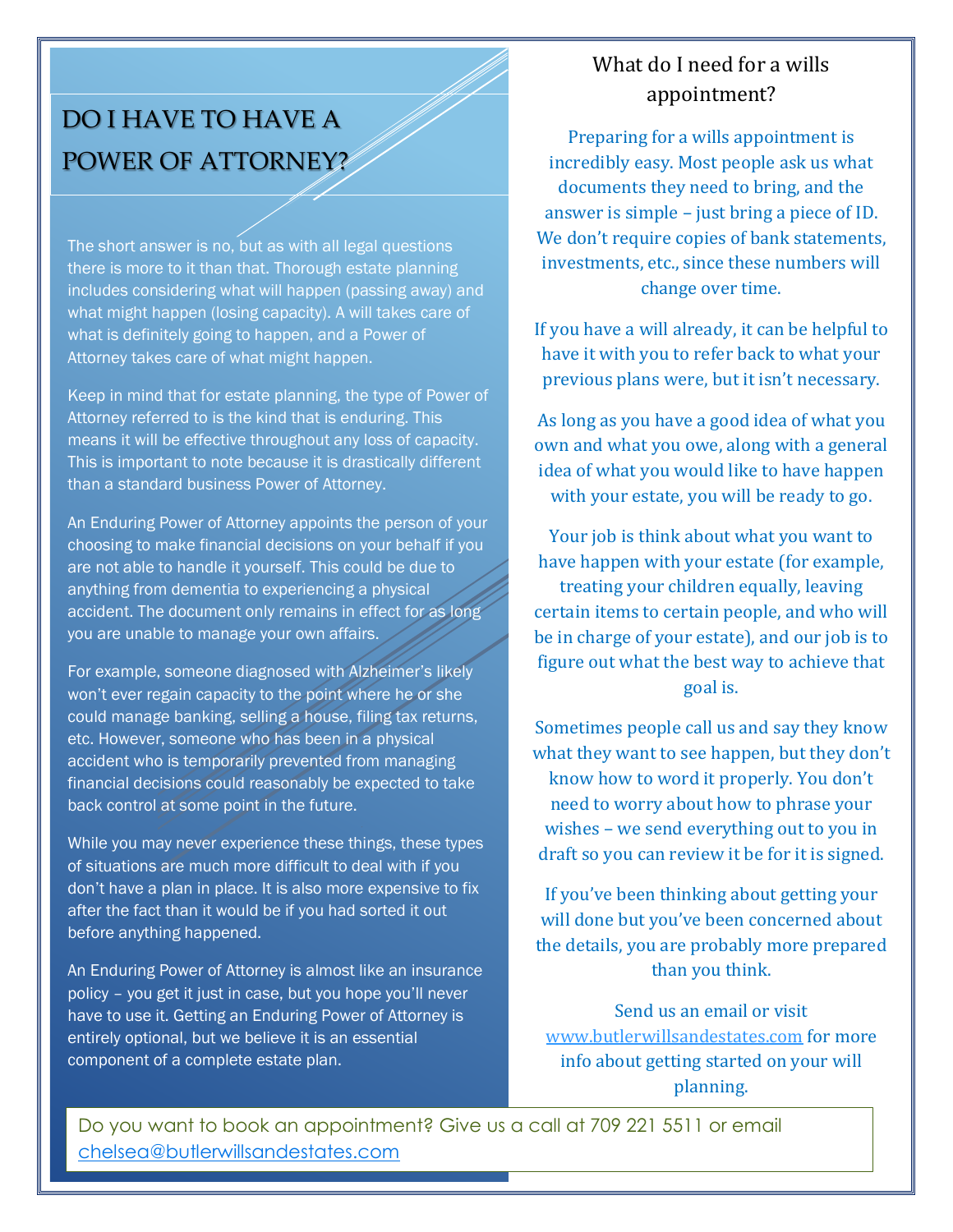# DO I HAVE TO HAVE A POWER OF ATTORNEY?

The short answer is no, but as with all legal questions there is more to it than that. Thorough estate planning includes considering what will happen (passing away) and what might happen (losing capacity). A will takes care of what is definitely going to happen, and a Power of Attorney takes care of what might happen.

Keep in mind that for estate planning, the type of Power of Attorney referred to is the kind that is enduring. This means it will be effective throughout any loss of capacity. This is important to note because it is drastically different than a standard business Power of Attorney.

An Enduring Power of Attorney appoints the person of your choosing to make financial decisions on your behalf if you are not able to handle it yourself. This could be due to anything from dementia to experiencing a physical accident. The document only remains in effect for as long you are unable to manage your own affairs.

For example, someone diagnosed with Alzheimer's likely won't ever regain capacity to the point where he or she could manage banking, selling a house, filing tax returns, etc. However, someone who has been in a physical accident who is temporarily prevented from managing financial decisions could reasonably be expected to take back control at some point in the future.

While you may never experience these things, these types of situations are much more difficult to deal with if you don't have a plan in place. It is also more expensive to fix after the fact than it would be if you had sorted it out before anything happened.

An Enduring Power of Attorney is almost like an insurance policy – you get it just in case, but you hope you'll never have to use it. Getting an Enduring Power of Attorney is entirely optional, but we believe it is an essential component of a complete estate plan.

#### We're What do I need for a wills appointment?

Preparing for a wills appointment is incredibly easy. Most people ask us what documents they need to bring, and the answer is simple – just bring a piece of ID. We don't require copies of bank statements, investments, etc., since these numbers will change over time.

If you have a will already, it can be helpful to have it with you to refer back to what your previous plans were, but it isn't necessary.

As long as you have a good idea of what you own and what you owe, along with a general idea of what you would like to have happen with your estate, you will be ready to go.

Your job is think about what you want to have happen with your estate (for example, treating your children equally, leaving certain items to certain people, and who will be in charge of your estate), and our job is to figure out what the best way to achieve that goal is.

Sometimes people call us and say they know what they want to see happen, but they don't know how to word it properly. You don't need to worry about how to phrase your wishes – we send everything out to you in draft so you can review it be for it is signed.

If you've been thinking about getting your will done but you've been concerned about the details, you are probably more prepared than you think.

Send us an email or visit [www.butlerwillsandestates.com](http://www.butlerwillsandestates.com/) for more info about getting started on your will planning.

Do you want to book an appointment? Give us a call at 709 221 5511 or email [chelsea@butlerwillsandestates.com](mailto:chelsea@butlerwillsandestates.com)